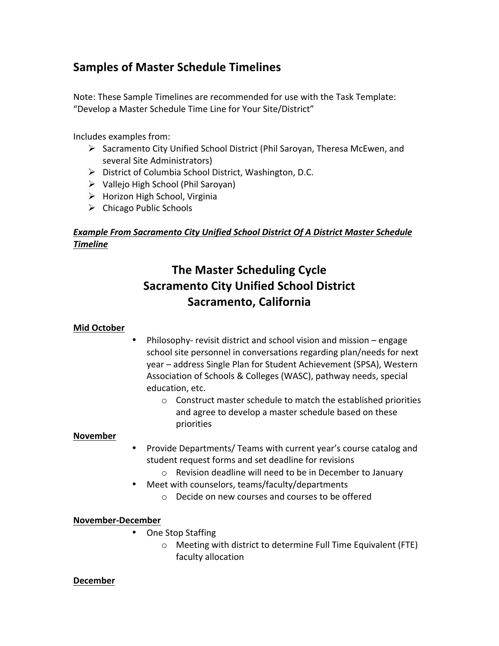## **Samples of Master Schedule Timelines**

Note: These Sample Timelines are recommended for use with the Task Template: "Develop a Master Schedule Time Line for Your Site/District"

Includes examples from:

- $\triangleright$  Sacramento City Unified School District (Phil Saroyan, Theresa McEwen, and several Site Administrators)
- $\triangleright$  District of Columbia School District, Washington, D.C.
- $\triangleright$  Vallejo High School (Phil Saroyan)
- $\triangleright$  Horizon High School, Virginia
- $\triangleright$  Chicago Public Schools

## **Example From Sacramento City Unified School District Of A District Master Schedule** *Timeline!*

# **The Master Scheduling Cycle Sacramento City Unified School District Sacramento, California**

## **Mid(October**

- Philosophy- revisit district and school vision and mission engage school site personnel in conversations regarding plan/needs for next year – address Single Plan for Student Achievement (SPSA), Western Association of Schools & Colleges (WASC), pathway needs, special education, etc.
	- $\circ$  Construct master schedule to match the established priorities and agree to develop a master schedule based on these priorities

#### **November**

- Provide Departments/ Teams with current year's course catalog and student request forms and set deadline for revisions
	- $\circ$  Revision deadline will need to be in December to January
- Meet with counselors, teams/faculty/departments
	- $\circ$  Decide on new courses and courses to be offered

#### **November?December**

- One Stop Staffing
	- $\circ$  Meeting with district to determine Full Time Equivalent (FTE) faculty allocation

#### **December**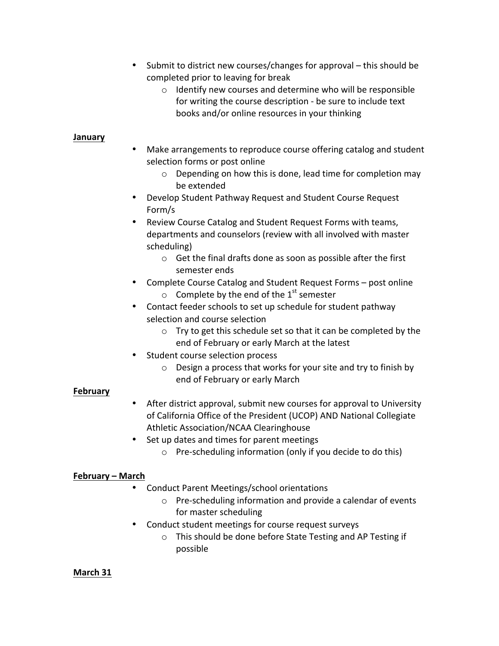- Submit to district new courses/changes for approval this should be completed prior to leaving for break
	- $\circ$  Identify new courses and determine who will be responsible for writing the course description - be sure to include text books and/or online resources in your thinking

#### **January**

- Make arrangements to reproduce course offering catalog and student selection forms or post online
	- $\circ$  Depending on how this is done, lead time for completion may be extended
- Develop Student Pathway Request and Student Course Request Form/s
- Review Course Catalog and Student Request Forms with teams, departments and counselors (review with all involved with master scheduling)
	- $\circ$  Get the final drafts done as soon as possible after the first semester ends
- Complete Course Catalog and Student Request Forms post online  $\circ$  Complete by the end of the 1<sup>st</sup> semester
- Contact feeder schools to set up schedule for student pathway selection and course selection
	- $\circ$  Try to get this schedule set so that it can be completed by the end of February or early March at the latest
- Student course selection process
	- $\circ$  Design a process that works for your site and try to finish by end of February or early March

## **February**

- After district approval, submit new courses for approval to University of California Office of the President (UCOP) AND National Collegiate Athletic Association/NCAA Clearinghouse
- Set up dates and times for parent meetings
	- $\circ$  Pre-scheduling information (only if you decide to do this)

## **February(– March**

- Conduct Parent Meetings/school orientations
	- $\circ$  Pre-scheduling information and provide a calendar of events for master scheduling
- Conduct student meetings for course request surveys
	- $\circ$  This should be done before State Testing and AP Testing if possible

## **March(31**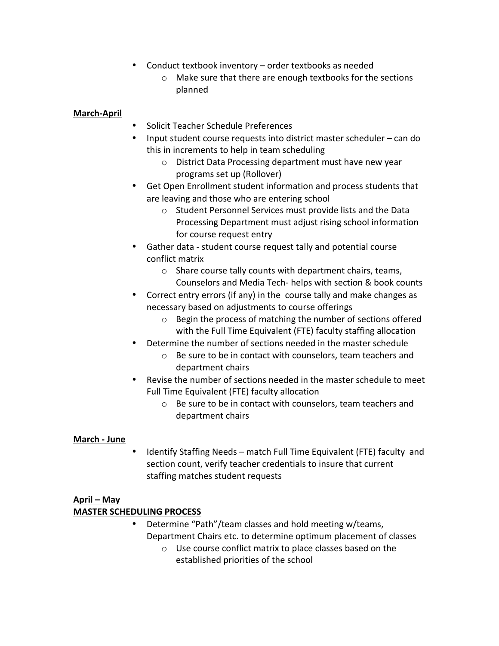- Conduct textbook inventory order textbooks as needed
	- $\circ$  Make sure that there are enough textbooks for the sections planned

#### **March?April**

- Solicit Teacher Schedule Preferences
- Input student course requests into district master scheduler can do this in increments to help in team scheduling
	- $\circ$  District Data Processing department must have new year programs set up (Rollover)
- Get Open Enrollment student information and process students that are leaving and those who are entering school
	- o Student Personnel Services must provide lists and the Data Processing Department must adjust rising school information for course request entry
- Gather data student course request tally and potential course conflict matrix
	- $\circ$  Share course tally counts with department chairs, teams, Counselors and Media Tech- helps with section & book counts
- Correct entry errors (if any) in the course tally and make changes as necessary based on adjustments to course offerings
	- $\circ$  Begin the process of matching the number of sections offered with the Full Time Equivalent (FTE) faculty staffing allocation
- Determine the number of sections needed in the master schedule
	- $\circ$  Be sure to be in contact with counselors, team teachers and department chairs
- Revise the number of sections needed in the master schedule to meet Full Time Equivalent (FTE) faculty allocation
	- $\circ$  Be sure to be in contact with counselors, team teachers and department chairs

## **March - June**

Identify Staffing Needs – match Full Time Equivalent (FTE) faculty and section count, verify teacher credentials to insure that current staffing matches student requests

## **April(– May**

## **MASTER SCHEDULING PROCESS**

- Determine "Path"/team classes and hold meeting w/teams, Department Chairs etc. to determine optimum placement of classes
	- $\circ$  Use course conflict matrix to place classes based on the established priorities of the school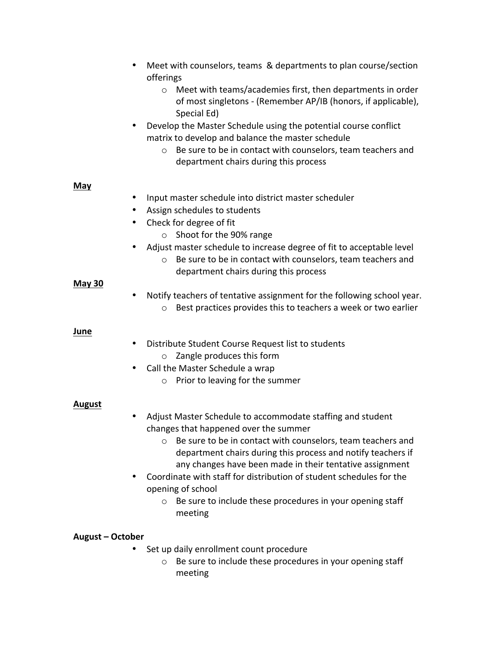| $\bullet$<br>٠                        | Meet with counselors, teams & departments to plan course/section<br>offerings<br>Meet with teams/academies first, then departments in order<br>$\circ$<br>of most singletons - (Remember AP/IB (honors, if applicable),<br>Special Ed)<br>Develop the Master Schedule using the potential course conflict<br>matrix to develop and balance the master schedule<br>Be sure to be in contact with counselors, team teachers and<br>$\circ$<br>department chairs during this process        |
|---------------------------------------|------------------------------------------------------------------------------------------------------------------------------------------------------------------------------------------------------------------------------------------------------------------------------------------------------------------------------------------------------------------------------------------------------------------------------------------------------------------------------------------|
| <b>May</b><br>٠<br>٠<br><b>May 30</b> | Input master schedule into district master scheduler<br>Assign schedules to students<br>Check for degree of fit<br>Shoot for the 90% range<br>$\circ$<br>Adjust master schedule to increase degree of fit to acceptable level<br>Be sure to be in contact with counselors, team teachers and<br>$\circ$<br>department chairs during this process                                                                                                                                         |
| $\bullet$                             | Notify teachers of tentative assignment for the following school year.<br>Best practices provides this to teachers a week or two earlier<br>$\circ$                                                                                                                                                                                                                                                                                                                                      |
| June<br>$\bullet$                     | Distribute Student Course Request list to students<br>Zangle produces this form<br>$\circ$<br>Call the Master Schedule a wrap<br>Prior to leaving for the summer<br>$\circ$                                                                                                                                                                                                                                                                                                              |
| <b>August</b><br>٠                    | Adjust Master Schedule to accommodate staffing and student<br>changes that happened over the summer<br>Be sure to be in contact with counselors, team teachers and<br>$\circ$<br>department chairs during this process and notify teachers if<br>any changes have been made in their tentative assignment<br>Coordinate with staff for distribution of student schedules for the<br>opening of school<br>Be sure to include these procedures in your opening staff<br>$\circ$<br>meeting |
| August – October                      | Set up daily enrollment count procedure                                                                                                                                                                                                                                                                                                                                                                                                                                                  |

 $\circ$  Be sure to include these procedures in your opening staff meeting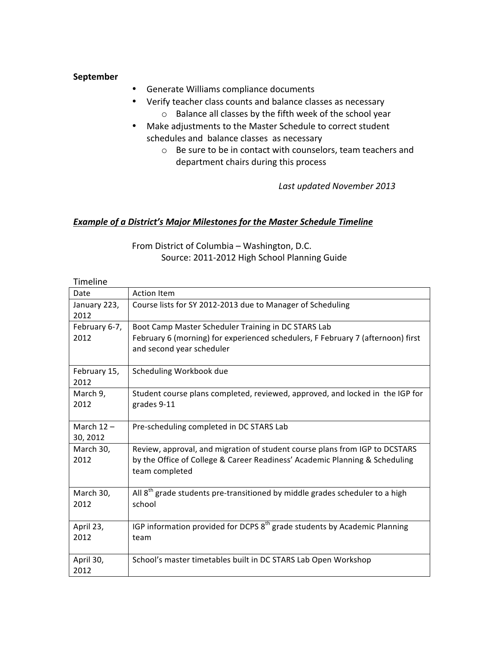#### **September**

- Generate Williams compliance documents
- Verify teacher class counts and balance classes as necessary
	- $\circ$  Balance all classes by the fifth week of the school year
- Make adjustments to the Master Schedule to correct student schedules and balance classes as necessary
	- $\circ$  Be sure to be in contact with counselors, team teachers and department chairs during this process

Last updated November 2013

#### **Example of a District's Major Milestones for the Master Schedule Timeline**

From District of Columbia - Washington, D.C. Source: 2011-2012 High School Planning Guide

| Timeline      |                                                                                          |
|---------------|------------------------------------------------------------------------------------------|
| Date          | <b>Action Item</b>                                                                       |
| January 223,  | Course lists for SY 2012-2013 due to Manager of Scheduling                               |
| 2012          |                                                                                          |
| February 6-7, | Boot Camp Master Scheduler Training in DC STARS Lab                                      |
| 2012          | February 6 (morning) for experienced schedulers, F February 7 (afternoon) first          |
|               | and second year scheduler                                                                |
|               |                                                                                          |
| February 15,  | Scheduling Workbook due                                                                  |
| 2012          |                                                                                          |
| March 9,      | Student course plans completed, reviewed, approved, and locked in the IGP for            |
| 2012          | grades 9-11                                                                              |
|               |                                                                                          |
| March $12 -$  | Pre-scheduling completed in DC STARS Lab                                                 |
| 30, 2012      |                                                                                          |
| March 30,     | Review, approval, and migration of student course plans from IGP to DCSTARS              |
| 2012          | by the Office of College & Career Readiness' Academic Planning & Scheduling              |
|               | team completed                                                                           |
|               |                                                                                          |
| March 30,     | All 8 <sup>th</sup> grade students pre-transitioned by middle grades scheduler to a high |
| 2012          | school                                                                                   |
|               |                                                                                          |
| April 23,     | IGP information provided for DCPS $8th$ grade students by Academic Planning              |
| 2012          | team                                                                                     |
|               |                                                                                          |
| April 30,     | School's master timetables built in DC STARS Lab Open Workshop                           |
| 2012          |                                                                                          |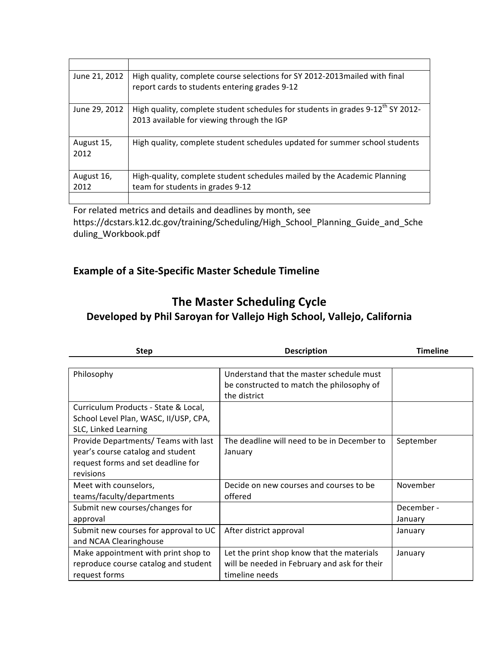| June 21, 2012      | High quality, complete course selections for SY 2012-2013 mailed with final<br>report cards to students entering grades 9-12              |
|--------------------|-------------------------------------------------------------------------------------------------------------------------------------------|
| June 29, 2012      | High quality, complete student schedules for students in grades 9-12 <sup>th</sup> SY 2012-<br>2013 available for viewing through the IGP |
| August 15,<br>2012 | High quality, complete student schedules updated for summer school students                                                               |
| August 16,<br>2012 | High-quality, complete student schedules mailed by the Academic Planning<br>team for students in grades 9-12                              |
|                    |                                                                                                                                           |

For related metrics and details and deadlines by month, see https://dcstars.k12.dc.gov/training/Scheduling/High\_School\_Planning\_Guide\_and\_Sche duling\_Workbook.pdf

## **Example of a Site-Specific Master Schedule Timeline**

## **The Master Scheduling Cycle Developed by Phil Saroyan for Vallejo High School, Vallejo, California**

| <b>Step</b>                           | <b>Description</b>                           | <b>Timeline</b> |
|---------------------------------------|----------------------------------------------|-----------------|
|                                       |                                              |                 |
| Philosophy                            | Understand that the master schedule must     |                 |
|                                       | be constructed to match the philosophy of    |                 |
|                                       | the district                                 |                 |
| Curriculum Products - State & Local,  |                                              |                 |
| School Level Plan, WASC, II/USP, CPA, |                                              |                 |
| SLC, Linked Learning                  |                                              |                 |
| Provide Departments/ Teams with last  | The deadline will need to be in December to  | September       |
| year's course catalog and student     | January                                      |                 |
| request forms and set deadline for    |                                              |                 |
| revisions                             |                                              |                 |
| Meet with counselors,                 | Decide on new courses and courses to be      | November        |
| teams/faculty/departments             | offered                                      |                 |
| Submit new courses/changes for        |                                              | December -      |
| approval                              |                                              | January         |
| Submit new courses for approval to UC | After district approval                      | January         |
| and NCAA Clearinghouse                |                                              |                 |
| Make appointment with print shop to   | Let the print shop know that the materials   | January         |
| reproduce course catalog and student  | will be needed in February and ask for their |                 |
| request forms                         | timeline needs                               |                 |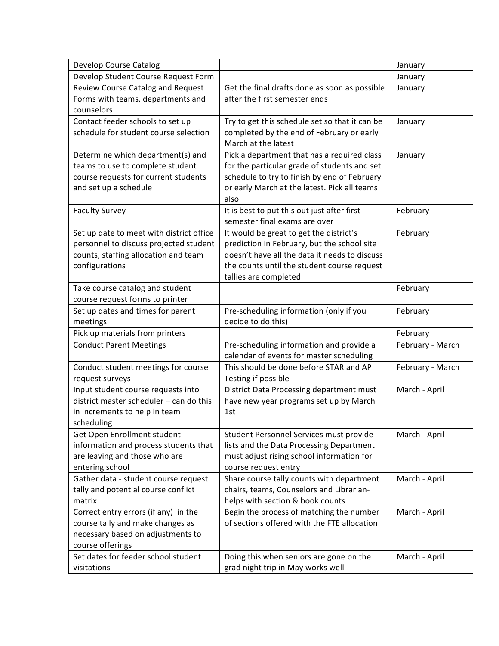| Develop Course Catalog                   |                                                | January          |
|------------------------------------------|------------------------------------------------|------------------|
| Develop Student Course Request Form      |                                                | January          |
| Review Course Catalog and Request        | Get the final drafts done as soon as possible  | January          |
| Forms with teams, departments and        | after the first semester ends                  |                  |
| counselors                               |                                                |                  |
| Contact feeder schools to set up         | Try to get this schedule set so that it can be | January          |
| schedule for student course selection    | completed by the end of February or early      |                  |
|                                          | March at the latest                            |                  |
| Determine which department(s) and        | Pick a department that has a required class    | January          |
| teams to use to complete student         | for the particular grade of students and set   |                  |
| course requests for current students     | schedule to try to finish by end of February   |                  |
| and set up a schedule                    | or early March at the latest. Pick all teams   |                  |
|                                          | also                                           |                  |
| <b>Faculty Survey</b>                    | It is best to put this out just after first    | February         |
|                                          | semester final exams are over                  |                  |
| Set up date to meet with district office | It would be great to get the district's        | February         |
| personnel to discuss projected student   | prediction in February, but the school site    |                  |
| counts, staffing allocation and team     | doesn't have all the data it needs to discuss  |                  |
| configurations                           | the counts until the student course request    |                  |
|                                          | tallies are completed                          |                  |
| Take course catalog and student          |                                                | February         |
| course request forms to printer          |                                                |                  |
| Set up dates and times for parent        | Pre-scheduling information (only if you        | February         |
| meetings                                 | decide to do this)                             |                  |
| Pick up materials from printers          |                                                | February         |
| <b>Conduct Parent Meetings</b>           | Pre-scheduling information and provide a       | February - March |
|                                          | calendar of events for master scheduling       |                  |
| Conduct student meetings for course      | This should be done before STAR and AP         | February - March |
| request surveys                          | Testing if possible                            |                  |
| Input student course requests into       | District Data Processing department must       | March - April    |
| district master scheduler - can do this  | have new year programs set up by March         |                  |
| in increments to help in team            | 1st                                            |                  |
| scheduling                               |                                                |                  |
| Get Open Enrollment student              | Student Personnel Services must provide        | March - April    |
| information and process students that    | lists and the Data Processing Department       |                  |
| are leaving and those who are            | must adjust rising school information for      |                  |
| entering school                          | course request entry                           |                  |
| Gather data - student course request     | Share course tally counts with department      | March - April    |
| tally and potential course conflict      | chairs, teams, Counselors and Librarian-       |                  |
| matrix                                   | helps with section & book counts               |                  |
| Correct entry errors (if any) in the     | Begin the process of matching the number       | March - April    |
| course tally and make changes as         | of sections offered with the FTE allocation    |                  |
| necessary based on adjustments to        |                                                |                  |
| course offerings                         |                                                |                  |
| Set dates for feeder school student      | Doing this when seniors are gone on the        | March - April    |
| visitations                              | grad night trip in May works well              |                  |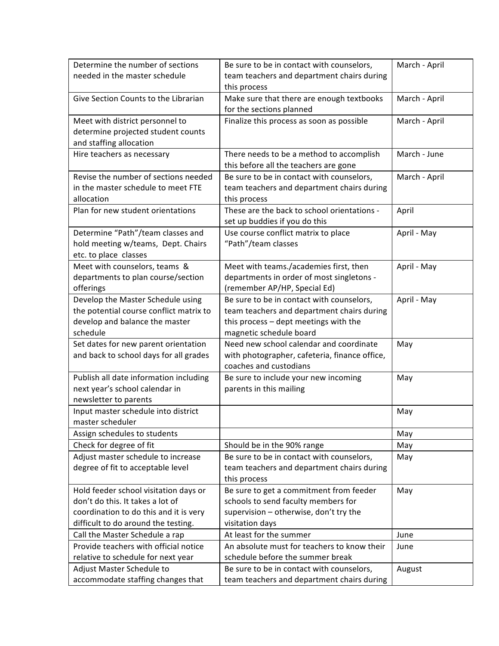| Determine the number of sections        | Be sure to be in contact with counselors,     | March - April |
|-----------------------------------------|-----------------------------------------------|---------------|
| needed in the master schedule           | team teachers and department chairs during    |               |
|                                         | this process                                  |               |
| Give Section Counts to the Librarian    | Make sure that there are enough textbooks     | March - April |
|                                         | for the sections planned                      |               |
| Meet with district personnel to         | Finalize this process as soon as possible     | March - April |
| determine projected student counts      |                                               |               |
| and staffing allocation                 |                                               |               |
| Hire teachers as necessary              | There needs to be a method to accomplish      | March - June  |
|                                         | this before all the teachers are gone         |               |
| Revise the number of sections needed    | Be sure to be in contact with counselors,     | March - April |
| in the master schedule to meet FTE      | team teachers and department chairs during    |               |
| allocation                              | this process                                  |               |
| Plan for new student orientations       | These are the back to school orientations -   | April         |
|                                         | set up buddies if you do this                 |               |
| Determine "Path"/team classes and       | Use course conflict matrix to place           | April - May   |
| hold meeting w/teams, Dept. Chairs      | "Path"/team classes                           |               |
| etc. to place classes                   |                                               |               |
| Meet with counselors, teams &           | Meet with teams./academies first, then        | April - May   |
| departments to plan course/section      | departments in order of most singletons -     |               |
| offerings                               | (remember AP/HP, Special Ed)                  |               |
| Develop the Master Schedule using       | Be sure to be in contact with counselors,     | April - May   |
| the potential course conflict matrix to | team teachers and department chairs during    |               |
| develop and balance the master          | this process - dept meetings with the         |               |
| schedule                                | magnetic schedule board                       |               |
| Set dates for new parent orientation    | Need new school calendar and coordinate       | May           |
| and back to school days for all grades  | with photographer, cafeteria, finance office, |               |
|                                         | coaches and custodians                        |               |
| Publish all date information including  | Be sure to include your new incoming          | May           |
| next year's school calendar in          | parents in this mailing                       |               |
| newsletter to parents                   |                                               |               |
| Input master schedule into district     |                                               | May           |
| master scheduler                        |                                               |               |
| Assign schedules to students            |                                               | May           |
| Check for degree of fit                 | Should be in the 90% range                    | May           |
| Adjust master schedule to increase      | Be sure to be in contact with counselors,     | May           |
| degree of fit to acceptable level       | team teachers and department chairs during    |               |
|                                         | this process                                  |               |
| Hold feeder school visitation days or   | Be sure to get a commitment from feeder       | May           |
| don't do this. It takes a lot of        | schools to send faculty members for           |               |
| coordination to do this and it is very  | supervision - otherwise, don't try the        |               |
| difficult to do around the testing.     | visitation days                               |               |
| Call the Master Schedule a rap          | At least for the summer                       | June          |
| Provide teachers with official notice   | An absolute must for teachers to know their   | June          |
| relative to schedule for next year      | schedule before the summer break              |               |
| Adjust Master Schedule to               | Be sure to be in contact with counselors,     | August        |
| accommodate staffing changes that       | team teachers and department chairs during    |               |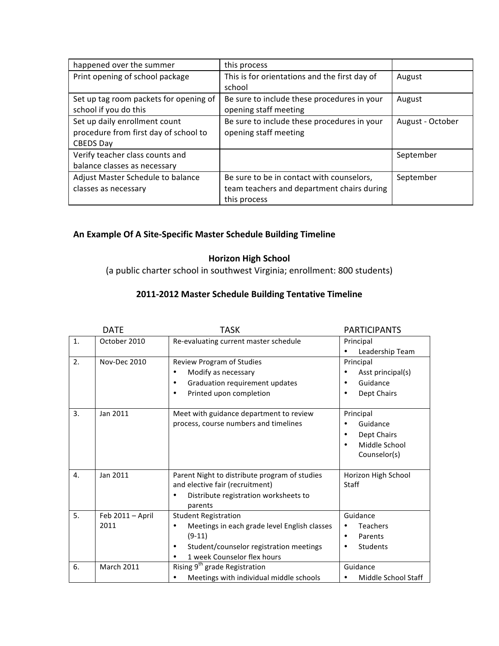| happened over the summer               | this process                                  |                  |
|----------------------------------------|-----------------------------------------------|------------------|
| Print opening of school package        | This is for orientations and the first day of | August           |
|                                        | school                                        |                  |
| Set up tag room packets for opening of | Be sure to include these procedures in your   | August           |
| school if you do this                  | opening staff meeting                         |                  |
| Set up daily enrollment count          | Be sure to include these procedures in your   | August - October |
| procedure from first day of school to  | opening staff meeting                         |                  |
| <b>CBEDS Day</b>                       |                                               |                  |
| Verify teacher class counts and        |                                               | September        |
| balance classes as necessary           |                                               |                  |
| Adjust Master Schedule to balance      | Be sure to be in contact with counselors,     | September        |
| classes as necessary                   | team teachers and department chairs during    |                  |
|                                        | this process                                  |                  |

## **An Example Of A Site-Specific Master Schedule Building Timeline**

## **Horizon High School**

(a public charter school in southwest Virginia; enrollment: 800 students)

## 2011-2012 Master Schedule Building Tentative Timeline

|                | DATE                                          | <b>TASK</b>                                                                                                                                                                                                              | <b>PARTICIPANTS</b>                                                             |
|----------------|-----------------------------------------------|--------------------------------------------------------------------------------------------------------------------------------------------------------------------------------------------------------------------------|---------------------------------------------------------------------------------|
| 1.             | October 2010                                  | Re-evaluating current master schedule                                                                                                                                                                                    | Principal<br>Leadership Team<br>٠                                               |
| 2.             | Nov-Dec 2010                                  | Review Program of Studies<br>Modify as necessary<br>٠<br>Graduation requirement updates<br>٠<br>Printed upon completion<br>$\bullet$                                                                                     | Principal<br>Asst principal(s)<br>Guidance<br>Dept Chairs                       |
| 3.             | Jan 2011                                      | Meet with guidance department to review<br>process, course numbers and timelines                                                                                                                                         | Principal<br>Guidance<br>Dept Chairs<br>٠<br>Middle School<br>٠<br>Counselor(s) |
| $\mathbf{4}$ . | Jan 2011                                      | Parent Night to distribute program of studies<br>and elective fair (recruitment)<br>Distribute registration worksheets to<br>parents                                                                                     | Horizon High School<br>Staff                                                    |
| 5.<br>6.       | Feb 2011 - April<br>2011<br><b>March 2011</b> | <b>Student Registration</b><br>Meetings in each grade level English classes<br>٠<br>$(9-11)$<br>Student/counselor registration meetings<br>٠<br>1 week Counselor flex hours<br>Rising 9 <sup>th</sup> grade Registration | Guidance<br><b>Teachers</b><br>Parents<br>٠<br><b>Students</b><br>Guidance      |
|                |                                               | Meetings with individual middle schools                                                                                                                                                                                  | Middle School Staff<br>٠                                                        |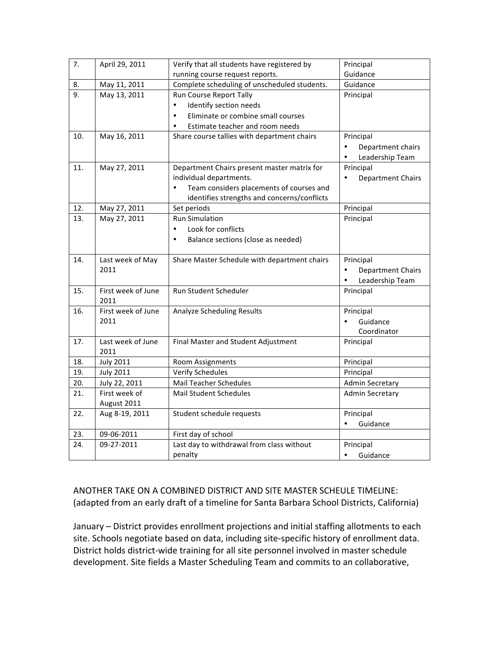| 7.  | April 29, 2011               | Verify that all students have registered by     | Principal                             |
|-----|------------------------------|-------------------------------------------------|---------------------------------------|
|     |                              | running course request reports.                 | Guidance                              |
| 8.  | May 11, 2011                 | Complete scheduling of unscheduled students.    | Guidance                              |
| 9.  | May 13, 2011                 | Run Course Report Tally                         | Principal                             |
|     |                              | Identify section needs<br>$\bullet$             |                                       |
|     |                              | Eliminate or combine small courses<br>$\bullet$ |                                       |
|     |                              | Estimate teacher and room needs<br>$\bullet$    |                                       |
| 10. | May 16, 2011                 | Share course tallies with department chairs     | Principal                             |
|     |                              |                                                 | Department chairs<br>$\bullet$        |
|     |                              |                                                 | Leadership Team                       |
| 11. | May 27, 2011                 | Department Chairs present master matrix for     | Principal                             |
|     |                              | individual departments.                         | <b>Department Chairs</b><br>$\bullet$ |
|     |                              | Team considers placements of courses and        |                                       |
|     |                              | identifies strengths and concerns/conflicts     |                                       |
| 12. | May 27, 2011                 | Set periods                                     | Principal                             |
| 13. | May 27, 2011                 | <b>Run Simulation</b>                           | Principal                             |
|     |                              | $\bullet$<br>Look for conflicts                 |                                       |
|     |                              | Balance sections (close as needed)<br>$\bullet$ |                                       |
|     |                              |                                                 |                                       |
| 14. | Last week of May             | Share Master Schedule with department chairs    | Principal                             |
|     | 2011                         |                                                 | $\bullet$<br><b>Department Chairs</b> |
|     |                              |                                                 | Leadership Team<br>$\bullet$          |
| 15. | First week of June           | Run Student Scheduler                           | Principal                             |
|     | 2011                         |                                                 |                                       |
| 16. | First week of June           | <b>Analyze Scheduling Results</b>               | Principal                             |
|     | 2011                         |                                                 | Guidance                              |
|     |                              |                                                 | Coordinator                           |
| 17. | Last week of June            | Final Master and Student Adjustment             | Principal                             |
|     | 2011                         |                                                 |                                       |
| 18. | <b>July 2011</b>             | Room Assignments                                | Principal                             |
| 19. | <b>July 2011</b>             | <b>Verify Schedules</b>                         | Principal                             |
| 20. | July 22, 2011                | <b>Mail Teacher Schedules</b>                   | <b>Admin Secretary</b>                |
| 21. | First week of<br>August 2011 | <b>Mail Student Schedules</b>                   | <b>Admin Secretary</b>                |
|     |                              |                                                 |                                       |
| 22. | Aug 8-19, 2011               | Student schedule requests                       | Principal<br>Guidance                 |
| 23. | 09-06-2011                   | First day of school                             |                                       |
|     |                              |                                                 |                                       |
|     |                              | penalty                                         | $\bullet$                             |
| 24. | 09-27-2011                   | Last day to withdrawal from class without       | Principal                             |
|     |                              |                                                 | Guidance                              |

ANOTHER TAKE ON A COMBINED DISTRICT AND SITE MASTER SCHEULE TIMELINE: (adapted from an early draft of a timeline for Santa Barbara School Districts, California)

January - District provides enrollment projections and initial staffing allotments to each site. Schools negotiate based on data, including site-specific history of enrollment data. District holds district-wide training for all site personnel involved in master schedule development. Site fields a Master Scheduling Team and commits to an collaborative,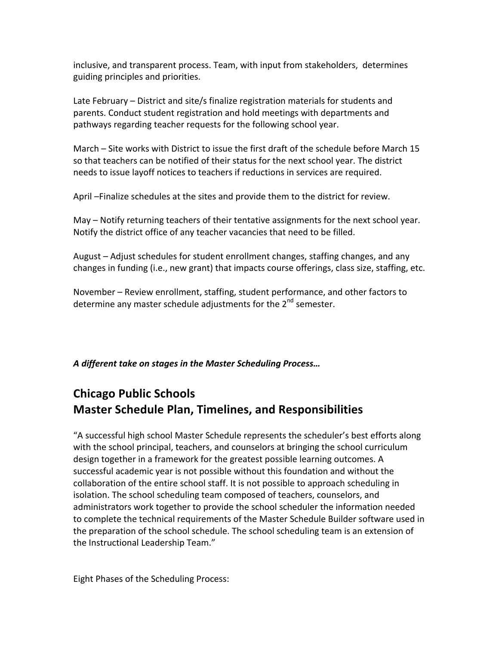inclusive, and transparent process. Team, with input from stakeholders, determines guiding principles and priorities.

Late February – District and site/s finalize registration materials for students and parents. Conduct student registration and hold meetings with departments and pathways regarding teacher requests for the following school year.

March - Site works with District to issue the first draft of the schedule before March 15 so that teachers can be notified of their status for the next school year. The district needs to issue layoff notices to teachers if reductions in services are required.

April –Finalize schedules at the sites and provide them to the district for review.

May – Notify returning teachers of their tentative assignments for the next school year. Notify the district office of any teacher vacancies that need to be filled.

August – Adjust schedules for student enrollment changes, staffing changes, and any changes in funding (i.e., new grant) that impacts course offerings, class size, staffing, etc.

November - Review enrollment, staffing, student performance, and other factors to determine any master schedule adjustments for the  $2^{nd}$  semester.

## A different take on stages in the Master Scheduling Process...

# **Chicago Public Schools Master Schedule Plan, Timelines, and Responsibilities**

"A successful high school Master Schedule represents the scheduler's best efforts along with the school principal, teachers, and counselors at bringing the school curriculum design together in a framework for the greatest possible learning outcomes. A successful academic year is not possible without this foundation and without the collaboration of the entire school staff. It is not possible to approach scheduling in isolation. The school scheduling team composed of teachers, counselors, and administrators work together to provide the school scheduler the information needed to complete the technical requirements of the Master Schedule Builder software used in the preparation of the school schedule. The school scheduling team is an extension of the Instructional Leadership Team."

Eight Phases of the Scheduling Process: